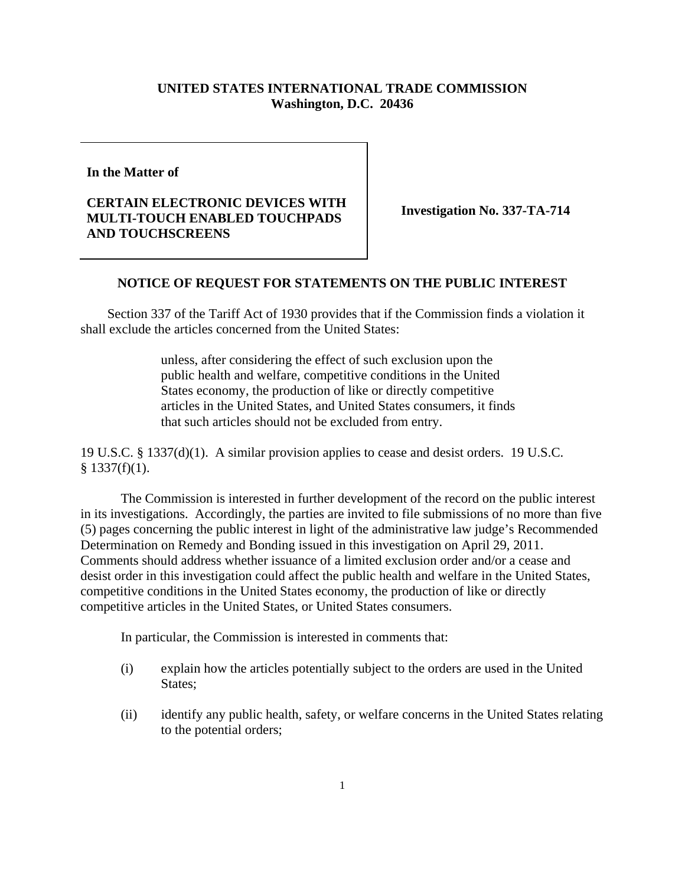## **UNITED STATES INTERNATIONAL TRADE COMMISSION Washington, D.C. 20436**

**In the Matter of** 

## **CERTAIN ELECTRONIC DEVICES WITH MULTI-TOUCH ENABLED TOUCHPADS AND TOUCHSCREENS**

**Investigation No. 337-TA-714** 

## **NOTICE OF REQUEST FOR STATEMENTS ON THE PUBLIC INTEREST**

 Section 337 of the Tariff Act of 1930 provides that if the Commission finds a violation it shall exclude the articles concerned from the United States:

> unless, after considering the effect of such exclusion upon the public health and welfare, competitive conditions in the United States economy, the production of like or directly competitive articles in the United States, and United States consumers, it finds that such articles should not be excluded from entry.

19 U.S.C. § 1337(d)(1). A similar provision applies to cease and desist orders. 19 U.S.C.  $§$  1337(f)(1).

 The Commission is interested in further development of the record on the public interest in its investigations. Accordingly, the parties are invited to file submissions of no more than five (5) pages concerning the public interest in light of the administrative law judge's Recommended Determination on Remedy and Bonding issued in this investigation on April 29, 2011. Comments should address whether issuance of a limited exclusion order and/or a cease and desist order in this investigation could affect the public health and welfare in the United States, competitive conditions in the United States economy, the production of like or directly competitive articles in the United States, or United States consumers.

In particular, the Commission is interested in comments that:

- (i) explain how the articles potentially subject to the orders are used in the United States:
- (ii) identify any public health, safety, or welfare concerns in the United States relating to the potential orders;